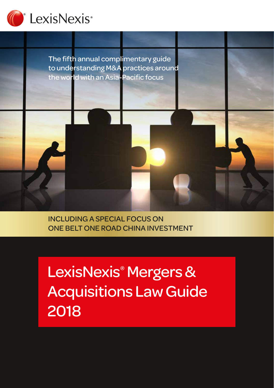



INCLUDING A SPECIAL FOCUS ON ONE BELT ONE ROAD CHINA INVESTMENT

LexisNexis® Mergers & Acquisitions Law Guide 2018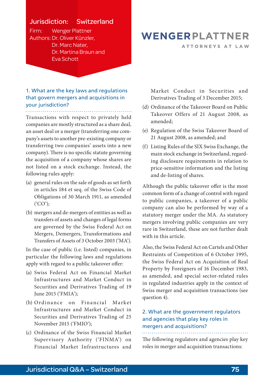## Jurisdiction: Switzerland

Firm: Wenger Plattner Authors:Dr. Oliver Künzler, Dr. Marc Nater, Dr. Martina Braun and Eva Schott

## 1. What are the key laws and regulations that govern mergers and acquisitions in your jurisdiction?

Transactions with respect to privately held companies are mostly structured as a share deal, an asset deal or a merger (transferring one company's assets to another pre-existing company or transferring two companies' assets into a new company). There is no specific statute governing the acquisition of a company whose shares are not listed on a stock exchange. Instead, the following rules apply:

- (a) general rules on the sale of goods as set forth in articles 184 et seq. of the Swiss Code of Obligations of 30 March 1911, as amended ('CO');
- (b) mergers and de-mergers of entities as well as transfers of assets and changes of legal forms are governed by the Swiss Federal Act on Mergers, Demergers, Transformations and Transfers of Assets of 3 October 2003 ('MA').

In the case of public (i.e. listed) companies, in particular the following laws and regulations apply with regard to a public takeover offer:

- (a) Swiss Federal Act on Financial Market Infrastructures and Market Conduct in Securities and Derivatives Trading of 19 June 2015 ('FMIA');
- (b) Ordinance on Financial Market Infrastructures and Market Conduct in Securities and Derivatives Trading of 25 November 2015 ('FMIO');
- (c) Ordinance of the Swiss Financial Market Supervisory Authority ('FINMA') on Financial Market Infrastructures and

## WENGERPLATTNER

ATTORNEYS AT LAW

Market Conduct in Securities and Derivatives Trading of 3 December 2015;

- (d) Ordinance of the Takeover Board on Public Takeover Offers of 21 August 2008, as amended;
- (e) Regulation of the Swiss Takeover Board of 21 August 2008, as amended; and
- (f) Listing Rules of the SIX Swiss Exchange, the main stock exchange in Switzerland, regarding disclosure requirements in relation to price-sensitive information and the listing and de-listing of shares.

Although the public takeover offer is the most common form of a change of control with regard to public companies, a takeover of a public company can also be performed by way of a statutory merger under the MA. As statutory mergers involving public companies are very rare in Switzerland, these are not further dealt with in this article.

Also, the Swiss Federal Act on Cartels and Other Restraints of Competition of 6 October 1995, the Swiss Federal Act on Acquisition of Real Property by Foreigners of 16 December 1983, as amended, and special sector-related rules in regulated industries apply in the context of Swiss merger and acquisition transactions (see question 4).

#### 2. What are the government regulators and agencies that play key roles in mergers and acquisitions?

The following regulators and agencies play key roles in merger and acquisition transactions: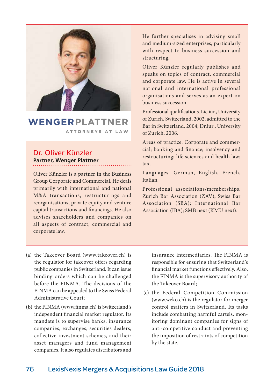

#### WFNGFRPLAT TNFR ATTORNEYS AT LAW

## Dr. Oliver Künzler **Partner, Wenger Plattner**

Oliver Künzler is a partner in the Business Group Corporate and Commercial. He deals primarily with international and national M&A transactions, restructurings and reorganisations, private equity and venture capital transactions and financings. He also advises shareholders and companies on all aspects of contract, commercial and corporate law.

- (a) the Takeover Board [\(www.takeover.ch\)](http://www.takeover.ch) is the regulator for takeover offers regarding public companies in Switzerland. It can issue binding orders which can be challenged before the FINMA. The decisions of the FINMA can be appealed to the Swiss Federal Administrative Court;
- (b) the FINMA [\(www.finma.ch](http://www.finma.ch)) is Switzerland's independent financial market regulator. Its mandate is to supervise banks, insurance companies, exchanges, securities dealers, collective investment schemes, and their asset managers and fund management companies. It also regulates distributors and

He further specialises in advising small and medium-sized enterprises, particularly with respect to business succession and structuring.

Oliver Künzler regularly publishes and speaks on topics of contract, commercial and corporate law. He is active in several national and international professional organisations and serves as an expert on business succession.

Professional qualifications. Lic.iur., University of Zurich, Switzerland, 2002; admitted to the Bar in Switzerland, 2004; Dr.iur., University of Zurich, 2006.

Areas of practice. Corporate and commercial; banking and finance; insolvency and restructuring; life sciences and health law; tax.

Languages. German, English, French, Italian.

Professional associations/memberships. Zurich Bar Association (ZAV); Swiss Bar Association (SBA); International Bar Association (IBA); SMB next (KMU next).

insurance intermediaries. The FINMA is responsible for ensuring that Switzerland's financial market functions effectively. Also, the FINMA is the supervisory authority of the Takeover Board;

(c) the Federal Competition Commission [\(www.weko.ch](http://www.weko.ch)) is the regulator for merger control matters in Switzerland. Its tasks include combatting harmful cartels, monitoring dominant companies for signs of anti-competitive conduct and preventing the imposition of restraints of competition by the state.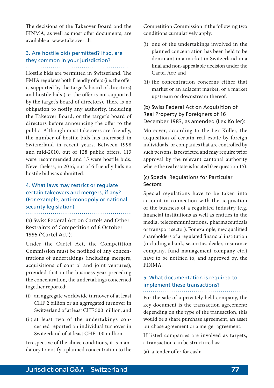The decisions of the Takeover Board and the FINMA, as well as most offer documents, are available at [www.takeover.ch](http://www.takeover.ch).

## 3. Are hostile bids permitted? If so, are they common in your jurisdiction?

Hostile bids are permitted in Switzerland. The FMIA regulates both friendly offers (i.e. the offer is supported by the target's board of directors) and hostile bids (i.e. the offer is not supported by the target's board of directors). There is no obligation to notify any authority, including the Takeover Board, or the target's board of directors before announcing the offer to the public. Although most takeovers are friendly, the number of hostile bids has increased in Switzerland in recent years. Between 1998 and mid-2010, out of 128 public offers, 113 were recommended and 15 were hostile bids. Nevertheless, in 2016, out of 6 friendly bids no hostile bid was submitted.

## 4. What laws may restrict or regulate certain takeovers and mergers, if any? (For example, anti-monopoly or national security legislation).

(a) Swiss Federal Act on Cartels and Other Restraints of Competition of 6 October 1995 ('Cartel Act'):

Under the Cartel Act, the Competition Commission must be notified of any concentrations of undertakings (including mergers, acquisitions of control and joint ventures), provided that in the business year preceding the concentration, the undertakings concerned together reported:

- (i) an aggregate worldwide turnover of at least CHF 2 billion or an aggregated turnover in Switzerland of at least CHF 500 million; and
- (ii) at least two of the undertakings concerned reported an individual turnover in Switzerland of at least CHF 100 million.

Irrespective of the above conditions, it is mandatory to notify a planned concentration to the Competition Commission if the following two conditions cumulatively apply:

- (i) one of the undertakings involved in the planned concentration has been held to be dominant in a market in Switzerland in a final and non-appealable decision under the Cartel Act; and
- (ii) the concentration concerns either that market or an adjacent market, or a market upstream or downstream thereof.

#### (b) Swiss Federal Act on Acquisition of Real Property by Foreigners of 16 December 1983, as amended (Lex Koller):

Moreover, according to the Lex Koller, the acquisition of certain real estate by foreign individuals, or companies that are controlled by such persons, is restricted and may require prior approval by the relevant cantonal authority where the real estate is located (see question 15).

#### (c) Special Regulations for Particular Sectors:

Special regulations have to be taken into account in connection with the acquisition of the business of a regulated industry (e.g. financial institutions as well as entities in the media, telecommunications, pharmaceuticals or transport sector). For example, new qualified shareholders of a regulated financial institution (including a bank, securities dealer, insurance company, fund management company etc.) have to be notified to, and approved by, the FINMA.

## 5. What documentation is required to implement these transactions?

For the sale of a privately held company, the key document is the transaction agreement: depending on the type of the transaction, this would be a share purchase agreement, an asset purchase agreement or a merger agreement.

If listed companies are involved as targets, a transaction can be structured as:

(a) a tender offer for cash;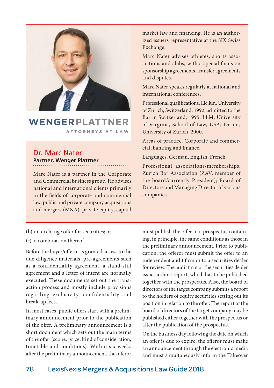

## WENGERPLATTNER ATTORNEYS AT LAW

## Dr. Marc Nater **Partner, Wenger Plattner**

Marc Nater is a partner in the Corporate and Commercial business group. He advises national and international clients primarily in the fields of corporate and commercial law, public and private company acquisitions and mergers (M&A), private equity, capital

market law and financing. He is an authorized issuers representative at the SIX Swiss Exchange.

Marc Nater advises athletes, sports associations and clubs, with a special focus on sponsorship agreements, transfer agreements and disputes.

Marc Nater speaks regularly at national and international conferences.

Professional qualifications. Lic.iur., University of Zurich, Switzerland, 1992; admitted to the Bar in Switzerland, 1995; LLM, University of Virginia, School of Law, USA; Dr.iur., University of Zurich, 2000.

Areas of practice. Corporate and commercial; banking and finance.

Languages. German, English, French.

Professional associations/memberships. Zurich Bar Association (ZAV, member of the board/currently President); Board of Directors and Managing Director of various companies.

- (b) an exchange offer for securities; or
- (c) a combination thereof.

Before the buyer/offeror is granted access to the due diligence materials, pre-agreements such as a confidentiality agreement, a stand-still agreement and a letter of intent are normally executed. These documents set out the transaction process and mostly include provisions regarding exclusivity, confidentiality and break-up fees.

In most cases, public offers start with a preliminary announcement prior to the publication of the offer. A preliminary announcement is a short document which sets out the main terms of the offer (scope, price, kind of consideration, timetable and conditions). Within six weeks after the preliminary announcement, the offeror must publish the offer in a prospectus containing, in principle, the same conditions as those in the preliminary announcement. Prior to publication, the offeror must submit the offer to an independent audit firm or to a securities dealer for review. The audit firm or the securities dealer issues a short report, which has to be published together with the prospectus. Also, the board of directors of the target company submits a report to the holders of equity securities setting out its position in relation to the offer. The report of the board of directors of the target company may be published either together with the prospectus or after the publication of the prospectus.

On the business day following the date on which an offer is due to expire, the offeror must make an announcement through the electronic media and must simultaneously inform the Takeover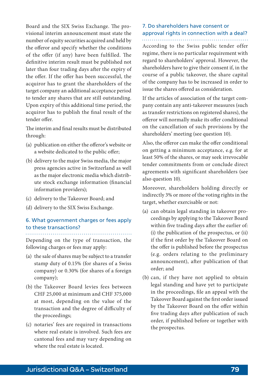Board and the SIX Swiss Exchange. The provisional interim announcement must state the number of equity securities acquired and held by the offeror and specify whether the conditions of the offer (if any) have been fulfilled. The definitive interim result must be published not later than four trading days after the expiry of the offer. If the offer has been successful, the acquiror has to grant the shareholders of the target company an additional acceptance period to tender any shares that are still outstanding. Upon expiry of this additional time period, the acquiror has to publish the final result of the tender offer.

The interim and final results must be distributed through:

- (a) publication on either the offeror's website or a website dedicated to the public offer;
- (b) delivery to the major Swiss media, the major press agencies active in Switzerland as well as the major electronic media which distribute stock exchange information (financial information providers);
- (c) delivery to the Takeover Board; and
- (d) delivery to the SIX Swiss Exchange.

#### 6. What government charges or fees apply to these transactions?

Depending on the type of transaction, the following charges or fees may apply:

- (a) the sale of shares may be subject to a transfer stamp duty of 0.15% (for shares of a Swiss company) or 0.30% (for shares of a foreign company);
- (b) the Takeover Board levies fees between CHF 25,000 at minimum and CHF 375,000 at most, depending on the value of the transaction and the degree of difficulty of the proceedings;
- (c) notaries' fees are required in transactions where real estate is involved. Such fees are cantonal fees and may vary depending on where the real estate is located.

#### 7. Do shareholders have consent or approval rights in connection with a deal?

According to the Swiss public tender offer regime, there is no particular requirement with regard to shareholders' approval. However, the shareholders have to give their consent if, in the course of a public takeover, the share capital of the company has to be increased in order to issue the shares offered as consideration.

If the articles of association of the target company contain any anti-takeover measures (such as transfer restrictions on registered shares), the offeror will normally make its offer conditional on the cancellation of such provisions by the shareholders' meeting (see question 10).

Also, the offeror can make the offer conditional on getting a minimum acceptance, e.g. for at least 50% of the shares, or may seek irrevocable tender commitments from or conclude direct agreements with significant shareholders (see also question 10).

Moreover, shareholders holding directly or indirectly 3% or more of the voting rights in the target, whether exercisable or not:

- (a) can obtain legal standing in takeover proceedings by applying to the Takeover Board within five trading days after the earlier of: (i) the publication of the prospectus, or (ii) if the first order by the Takeover Board on the offer is published before the prospectus (e.g. orders relating to the preliminary announcement), after publication of that order; and
- (b) can, if they have not applied to obtain legal standing and have yet to participate in the proceedings, file an appeal with the Takeover Board against the first order issued by the Takeover Board on the offer within five trading days after publication of such order, if published before or together with the prospectus.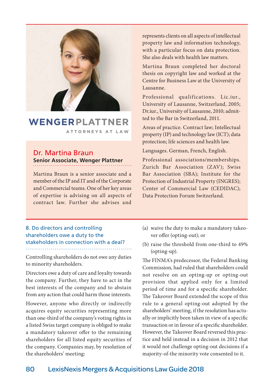

## WENGERPLATTNER ATTORNEYS AT LAW

## Dr. Martina Braun **Senior Associate, Wenger Plattner**

Martina Braun is a senior associate and a member of the IP and IT and of the Corporate and Commercial teams. One of her key areas of expertise is advising on all aspects of contract law. Further she advises and

represents clients on all aspects of intellectual property law and information technology, with a particular focus on data protection. She also deals with health law matters.

Martina Braun completed her doctoral thesis on copyright law and worked at the Centre for Business Law at the University of Lausanne.

Professional qualifications. Lic.iur., University of Lausanne, Switzerland, 2005; Dr.iur., University of Lausanne, 2010; admitted to the Bar in Switzerland, 2011.

Areas of practice. Contract law; Intellectual property (IP) and technology law (ICT); data protection; life sciences and health law.

Languages. German, French, English.

Professional associations/memberships. Zurich Bar Association (ZAV); Swiss Bar Association (SBA); Institute for the Protection of Industrial Property (INGRES); Center of Commercial Law (CEDIDAC); Data Protection Forum Switzerland.

## 8. Do directors and controlling shareholders owe a duty to the stakeholders in connection with a deal?

Controlling shareholders do not owe any duties to minority shareholders.

Directors owe a duty of care and loyalty towards the company. Further, they have to act in the best interests of the company and to abstain from any action that could harm those interests.

However, anyone who directly or indirectly acquires equity securities representing more than one-third of the company's voting rights in a listed Swiss target company is obliged to make a mandatory takeover offer to the remaining shareholders for all listed equity securities of the company. Companies may, by resolution of the shareholders' meeting:

- (a) waive the duty to make a mandatory takeover offer (opting-out); or
- (b) raise the threshold from one-third to 49% (opting-up).

The FINMA's predecessor, the Federal Banking Commission, had ruled that shareholders could not resolve on an opting-up or opting-out provision that applied only for a limited period of time and for a specific shareholder. The Takeover Board extended the scope of this rule to a general opting-out adopted by the shareholders' meeting, if the resolution has actually or implicitly been taken in view of a specific transaction or in favour of a specific shareholder. However, the Takeover Board reversed this practice and held instead in a decision in 2012 that it would not challenge opting-out decisions if a majority-of-the minority vote consented to it.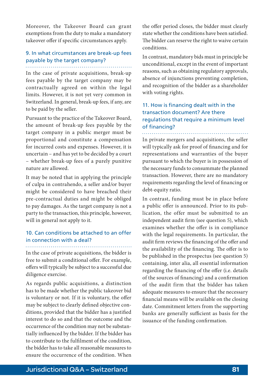Moreover, the Takeover Board can grant exemptions from the duty to make a mandatory takeover offer if specific circumstances apply.

## 9. In what circumstances are break-up fees payable by the target company?

In the case of private acquisitions, break-up fees payable by the target company may be contractually agreed on within the legal limits. However, it is not yet very common in Switzerland. In general, break-up fees, if any, are to be paid by the seller.

Pursuant to the practice of the Takeover Board, the amount of break-up fees payable by the target company in a public merger must be proportional and constitute a compensation for incurred costs and expenses. However, it is uncertain – and has yet to be decided by a court – whether break-up fees of a purely punitive nature are allowed.

It may be noted that in applying the principle of culpa in contrahendo, a seller and/or buyer might be considered to have breached their pre-contractual duties and might be obliged to pay damages. As the target company is not a party to the transaction, this principle, however, will in general not apply to it.

#### 10. Can conditions be attached to an offer in connection with a deal?

In the case of private acquisitions, the bidder is free to submit a conditional offer. For example, offers will typically be subject to a successful due diligence exercise.

As regards public acquisitions, a distinction has to be made whether the public takeover bid is voluntary or not. If it is voluntary, the offer may be subject to clearly defined objective conditions, provided that the bidder has a justified interest to do so and that the outcome and the occurrence of the condition may not be substantially influenced by the bidder. If the bidder has to contribute to the fulfilment of the condition, the bidder has to take all reasonable measures to ensure the occurrence of the condition. When

the offer period closes, the bidder must clearly state whether the conditions have been satisfied. The bidder can reserve the right to waive certain conditions.

In contrast, mandatory bids must in principle be unconditional, except in the event of important reasons, such as obtaining regulatory approvals, absence of injunctions preventing completion, and recognition of the bidder as a shareholder with voting rights.

## 11. How is financing dealt with in the transaction document? Are there regulations that require a minimum level of financing?

. . . . . . . . . . . . . . . . . . . .

In private mergers and acquisitions, the seller will typically ask for proof of financing and for representations and warranties of the buyer pursuant to which the buyer is in possession of the necessary funds to consummate the planned transaction. However, there are no mandatory requirements regarding the level of financing or debt-equity ratio.

In contrast, funding must be in place before a public offer is announced. Prior to its publication, the offer must be submitted to an independent audit firm (see question 5), which examines whether the offer is in compliance with the legal requirements. In particular, the audit firm reviews the financing of the offer and the availability of the financing. The offer is to be published in the prospectus (see question 5) containing, inter alia, all essential information regarding the financing of the offer (i.e. details of the sources of financing) and a confirmation of the audit firm that the bidder has taken adequate measures to ensure that the necessary financial means will be available on the closing date. Commitment letters from the supporting banks are generally sufficient as basis for the issuance of the funding confirmation.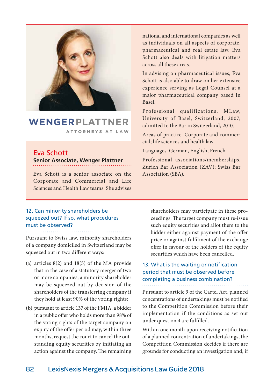

## WENGERPLATTNER ATTORNEYS AT LAW

## Eva Schott **Senior Associate, Wenger Plattner**

Eva Schott is a senior associate on the Association (SBA). Corporate and Commercial and Life Sciences and Health Law teams. She advises

#### 12. Can minority shareholders be squeezed out? If so, what procedures must be observed?

Pursuant to Swiss law, minority shareholders of a company domiciled in Switzerland may be squeezed out in two different ways:

- (a) articles 8(2) and 18(5) of the MA provide that in the case of a statutory merger of two or more companies, a minority shareholder may be squeezed out by decision of the shareholders of the transferring company if they hold at least 90% of the voting rights;
- (b) pursuant to article 137 of the FMIA, a bidder in a public offer who holds more than 98% of the voting rights of the target company on expiry of the offer period may, within three months, request the court to cancel the outstanding equity securities by initiating an action against the company. The remaining

national and international companies as well as individuals on all aspects of corporate, pharmaceutical and real estate law. Eva Schott also deals with litigation matters across all these areas.

In advising on pharmaceutical issues, Eva Schott is also able to draw on her extensive experience serving as Legal Counsel at a major pharmaceutical company based in Basel.

Professional qualifications. MLaw, University of Basel, Switzerland, 2007; admitted to the Bar in Switzerland, 2010.

Areas of practice. Corporate and commercial; life sciences and health law.

Languages. German, English, French.

Professional associations/memberships. Zurich Bar Association (ZAV); Swiss Bar

shareholders may participate in these proceedings. The target company must re-issue such equity securities and allot them to the bidder either against payment of the offer price or against fulfilment of the exchange offer in favour of the holders of the equity securities which have been cancelled.

### 13. What is the waiting or notification period that must be observed before completing a business combination?

Pursuant to article 9 of the Cartel Act, planned concentrations of undertakings must be notified to the Competition Commission before their implementation if the conditions as set out under question 4 are fulfilled.

Within one month upon receiving notification of a planned concentration of undertakings, the Competition Commission decides if there are grounds for conducting an investigation and, if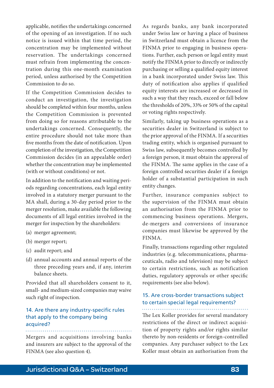applicable, notifies the undertakings concerned of the opening of an investigation. If no such notice is issued within that time period, the concentration may be implemented without reservation. The undertakings concerned must refrain from implementing the concentration during this one-month examination period, unless authorised by the Competition Commission to do so.

If the Competition Commission decides to conduct an investigation, the investigation should be completed within four months, unless the Competition Commission is prevented from doing so for reasons attributable to the undertakings concerned. Consequently, the entire procedure should not take more than five months from the date of notification. Upon completion of the investigation, the Competition Commission decides (in an appealable order) whether the concentration may be implemented (with or without conditions) or not.

In addition to the notification and waiting periods regarding concentrations, each legal entity involved in a statutory merger pursuant to the MA shall, during a 30-day period prior to the merger resolution, make available the following documents of all legal entities involved in the merger for inspection by the shareholders:

- (a) merger agreement;
- (b) merger report;
- (c) audit report; and
- (d) annual accounts and annual reports of the three preceding years and, if any, interim balance sheets.

Provided that all shareholders consent to it, small- and medium-sized companies may waive such right of inspection.

#### 14. Are there any industry-specific rules that apply to the company being acquired?

Mergers and acquisitions involving banks and insurers are subject to the approval of the FINMA (see also question 4).

As regards banks, any bank incorporated under Swiss law or having a place of business in Switzerland must obtain a licence from the FINMA prior to engaging in business operations. Further, each person or legal entity must notify the FINMA prior to directly or indirectly purchasing or selling a qualified equity interest in a bank incorporated under Swiss law. This duty of notification also applies if qualified equity interests are increased or decreased in such a way that they reach, exceed or fall below the thresholds of 20%, 33% or 50% of the capital or voting rights respectively.

Similarly, taking up business operations as a securities dealer in Switzerland is subject to the prior approval of the FINMA. If a securities trading entity, which is organised pursuant to Swiss law, subsequently becomes controlled by a foreign person, it must obtain the approval of the FINMA. The same applies in the case of a foreign controlled securities dealer if a foreign holder of a substantial participation in such entity changes.

Further, insurance companies subject to the supervision of the FINMA must obtain an authorisation from the FINMA prior to commencing business operations. Mergers, de-mergers and conversions of insurance companies must likewise be approved by the FINMA.

Finally, transactions regarding other regulated industries (e.g. telecommunications, pharmaceuticals, radio and television) may be subject to certain restrictions, such as notification duties, regulatory approvals or other specific requirements (see also below).

## 15. Are cross-border transactions subject to certain special legal requirements?

The Lex Koller provides for several mandatory restrictions of the direct or indirect acquisition of property rights and/or rights similar thereto by non-residents or foreign-controlled companies. Any purchaser subject to the Lex Koller must obtain an authorisation from the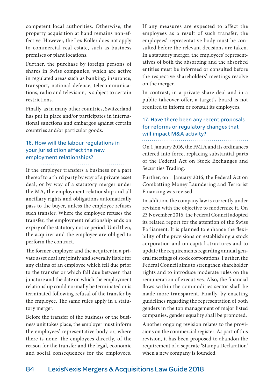competent local authorities. Otherwise, the property acquisition at hand remains non-effective. However, the Lex Koller does not apply to commercial real estate, such as business premises or plant locations.

Further, the purchase by foreign persons of shares in Swiss companies, which are active in regulated areas such as banking, insurance, transport, national defence, telecommunications, radio and television, is subject to certain restrictions.

Finally, as in many other countries, Switzerland has put in place and/or participates in international sanctions and embargos against certain countries and/or particular goods.

## 16. How will the labour regulations in your jurisdiction affect the new employment relationships?

If the employer transfers a business or a part thereof to a third party by way of a private asset deal, or by way of a statutory merger under the MA, the employment relationship and all ancillary rights and obligations automatically pass to the buyer, unless the employee refuses such transfer. Where the employee refuses the transfer, the employment relationship ends on expiry of the statutory notice period. Until then, the acquirer and the employee are obliged to perform the contract.

The former employer and the acquirer in a private asset deal are jointly and severally liable for any claims of an employee which fell due prior to the transfer or which fall due between that juncture and the date on which the employment relationship could normally be terminated or is terminated following refusal of the transfer by the employee. The same rules apply in a statutory merger.

Before the transfer of the business or the business unit takes place, the employer must inform the employees' representative body or, where there is none, the employees directly, of the reason for the transfer and the legal, economic and social consequences for the employees. If any measures are expected to affect the employees as a result of such transfer, the employees' representative body must be consulted before the relevant decisions are taken. In a statutory merger, the employees' representatives of both the absorbing and the absorbed entities must be informed or consulted before the respective shareholders' meetings resolve on the merger.

In contrast, in a private share deal and in a public takeover offer, a target's board is not required to inform or consult its employees.

## 17. Have there been any recent proposals for reforms or regulatory changes that will impact M&A activity?

On 1 January 2016, the FMIA and its ordinances entered into force, replacing substantial parts of the Federal Act on Stock Exchanges and Securities Trading.

Further, on 1 January 2016, the Federal Act on Combatting Money Laundering and Terrorist Financing was revised.

In addition, the company law is currently under revision with the objective to modernize it. On 23 November 2016, the Federal Council adopted its related report for the attention of the Swiss Parliament. It is planned to enhance the flexibility of the provisions on establishing a stock corporation and on capital structures and to update the requirements regarding annual general meetings of stock corporations. Further, the Federal Council aims to strengthen shareholder rights and to introduce moderate rules on the remuneration of executives. Also, the financial flows within the commodities sector shall be made more transparent. Finally, by enacting guidelines regarding the representation of both genders in the top management of major listed companies, gender equality shall be promoted.

Another ongoing revision relates to the provisions on the commercial register. As part of this revision, it has been proposed to abandon the requirement of a separate 'Stampa Declaration' when a new company is founded.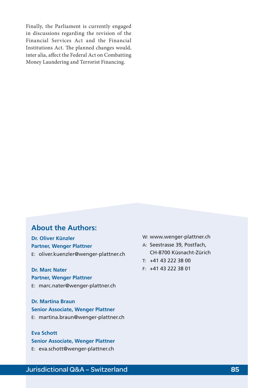Finally, the Parliament is currently engaged in discussions regarding the revision of the Financial Services Act and the Financial Institutions Act. The planned changes would, inter alia, affect the Federal Act on Combatting Money Laundering and Terrorist Financing.

## **About the Authors:**

**Dr. Oliver Künzler Partner, Wenger Plattner** E: [oliver.kuenzler@wenger-plattner.ch](mailto:oliver.kuenzler%40wenger-plattner.ch?subject=)

**Dr. Marc Nater Partner, Wenger Plattner** E: [marc.nater@wenger-plattner.ch](mailto:marc.nater%40wenger-plattner.ch?subject=)

**Dr. Martina Braun Senior Associate, Wenger Plattner** E: [martina.braun@wenger-plattner.ch](mailto:martina.braun%40wenger-plattner.ch?subject=)

## **Eva Schott**

**Senior Associate, Wenger Plattner** E: [eva.schott@wenger-plattner.ch](mailto:eva.schott%40wenger-plattner.ch?subject=)

W: [www.wenger-plattner.ch](http://www.wenger-plattner.ch)

- A: Seestrasse 39, Postfach, CH-8700 Küsnacht-Zürich
- T: +41 43 222 38 00
- F: +41 43 222 38 01

## Jurisdictional Q&A – Switzerland **85**